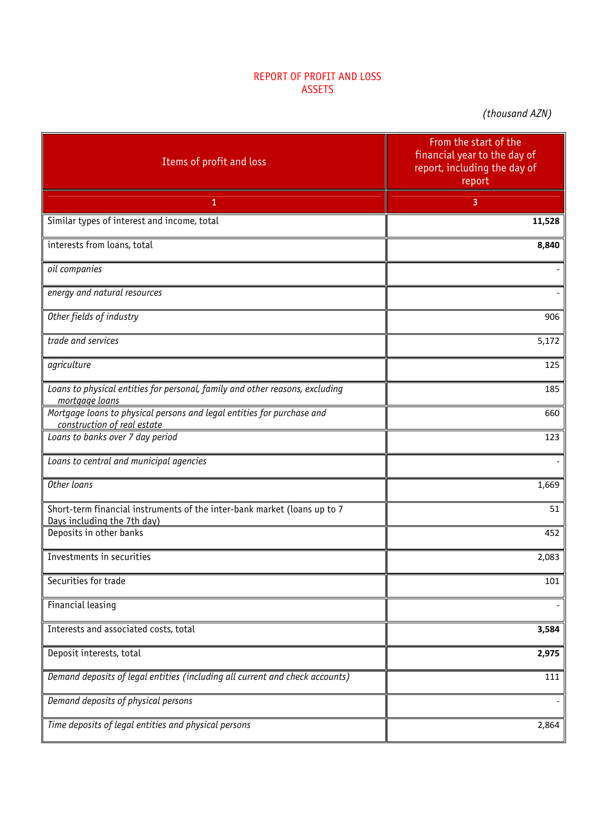## REPORT OF PROFIT AND LOSS ASSETS

*(thousand AZN)*

| Items of profit and loss                                                                                | From the start of the<br>financial year to the day of<br>report, including the day of<br>report |
|---------------------------------------------------------------------------------------------------------|-------------------------------------------------------------------------------------------------|
| 1                                                                                                       | 3                                                                                               |
| Similar types of interest and income, total                                                             | 11,528                                                                                          |
| interests from loans, total                                                                             | 8,840                                                                                           |
| oil companies                                                                                           |                                                                                                 |
| energy and natural resources                                                                            |                                                                                                 |
| Other fields of industry                                                                                | 906                                                                                             |
| trade and services                                                                                      | 5,172                                                                                           |
| agriculture                                                                                             | 125                                                                                             |
| Loans to physical entities for personal, family and other reasons, excluding<br>mortgage loans          | 185                                                                                             |
| Mortgage loans to physical persons and legal entities for purchase and<br>construction of real estate   | 660                                                                                             |
| Loans to banks over 7 day period                                                                        | 123                                                                                             |
| Loans to central and municipal agencies                                                                 |                                                                                                 |
| Other loans                                                                                             | 1,669                                                                                           |
| Short-term financial instruments of the inter-bank market (loans up to 7<br>Days including the 7th day) | 51                                                                                              |
| Deposits in other banks                                                                                 | 452                                                                                             |
| Investments in securities                                                                               | 2,083                                                                                           |
| Securities for trade                                                                                    | 101                                                                                             |
| Financial leasing                                                                                       |                                                                                                 |
| Interests and associated costs, total                                                                   | 3,584                                                                                           |
| Deposit interests, total                                                                                | 2,975                                                                                           |
| Demand deposits of legal entities (including all current and check accounts)                            | 111                                                                                             |
| Demand deposits of physical persons                                                                     |                                                                                                 |
| Time deposits of legal entities and physical persons                                                    | 2,864                                                                                           |